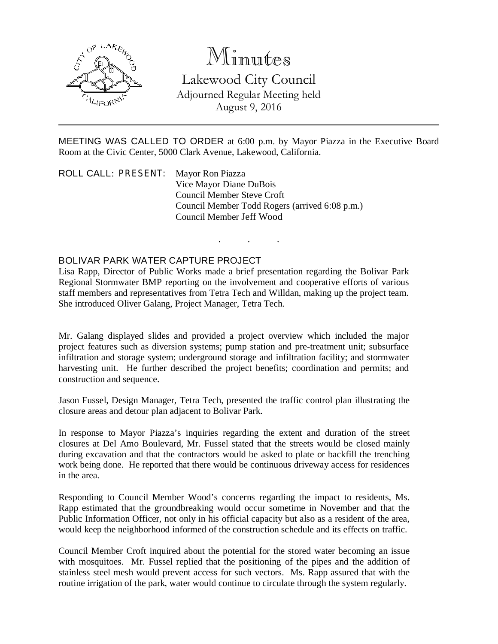

# Minutes

Lakewood City Council Adjourned Regular Meeting held August 9, 2016

MEETING WAS CALLED TO ORDER at 6:00 p.m. by Mayor Piazza in the Executive Board Room at the Civic Center, 5000 Clark Avenue, Lakewood, California.

. . .

ROLL CALL: PRESENT: Mayor Ron Piazza Vice Mayor Diane DuBois Council Member Steve Croft Council Member Todd Rogers (arrived 6:08 p.m.) Council Member Jeff Wood

#### BOLIVAR PARK WATER CAPTURE PROJECT

Lisa Rapp, Director of Public Works made a brief presentation regarding the Bolivar Park Regional Stormwater BMP reporting on the involvement and cooperative efforts of various staff members and representatives from Tetra Tech and Willdan, making up the project team. She introduced Oliver Galang, Project Manager, Tetra Tech.

Mr. Galang displayed slides and provided a project overview which included the major project features such as diversion systems; pump station and pre-treatment unit; subsurface infiltration and storage system; underground storage and infiltration facility; and stormwater harvesting unit. He further described the project benefits; coordination and permits; and construction and sequence.

Jason Fussel, Design Manager, Tetra Tech, presented the traffic control plan illustrating the closure areas and detour plan adjacent to Bolivar Park.

In response to Mayor Piazza's inquiries regarding the extent and duration of the street closures at Del Amo Boulevard, Mr. Fussel stated that the streets would be closed mainly during excavation and that the contractors would be asked to plate or backfill the trenching work being done. He reported that there would be continuous driveway access for residences in the area.

Responding to Council Member Wood's concerns regarding the impact to residents, Ms. Rapp estimated that the groundbreaking would occur sometime in November and that the Public Information Officer, not only in his official capacity but also as a resident of the area, would keep the neighborhood informed of the construction schedule and its effects on traffic.

Council Member Croft inquired about the potential for the stored water becoming an issue with mosquitoes. Mr. Fussel replied that the positioning of the pipes and the addition of stainless steel mesh would prevent access for such vectors. Ms. Rapp assured that with the routine irrigation of the park, water would continue to circulate through the system regularly.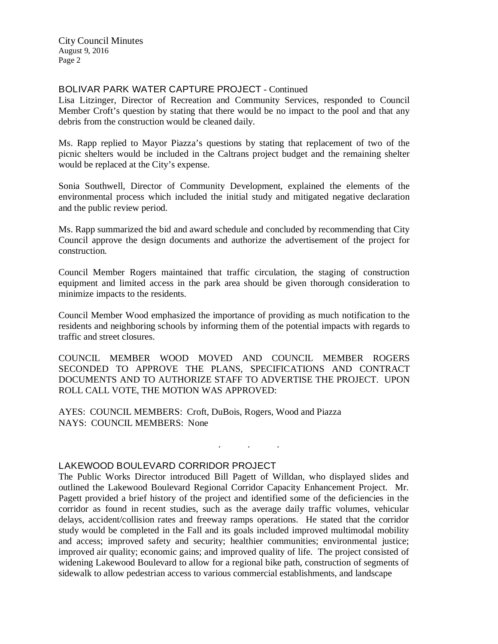# BOLIVAR PARK WATER CAPTURE PROJECT - Continued

Lisa Litzinger, Director of Recreation and Community Services, responded to Council Member Croft's question by stating that there would be no impact to the pool and that any debris from the construction would be cleaned daily.

Ms. Rapp replied to Mayor Piazza's questions by stating that replacement of two of the picnic shelters would be included in the Caltrans project budget and the remaining shelter would be replaced at the City's expense.

Sonia Southwell, Director of Community Development, explained the elements of the environmental process which included the initial study and mitigated negative declaration and the public review period.

Ms. Rapp summarized the bid and award schedule and concluded by recommending that City Council approve the design documents and authorize the advertisement of the project for construction.

Council Member Rogers maintained that traffic circulation, the staging of construction equipment and limited access in the park area should be given thorough consideration to minimize impacts to the residents.

Council Member Wood emphasized the importance of providing as much notification to the residents and neighboring schools by informing them of the potential impacts with regards to traffic and street closures.

COUNCIL MEMBER WOOD MOVED AND COUNCIL MEMBER ROGERS SECONDED TO APPROVE THE PLANS, SPECIFICATIONS AND CONTRACT DOCUMENTS AND TO AUTHORIZE STAFF TO ADVERTISE THE PROJECT. UPON ROLL CALL VOTE, THE MOTION WAS APPROVED:

. . .

AYES: COUNCIL MEMBERS: Croft, DuBois, Rogers, Wood and Piazza NAYS: COUNCIL MEMBERS: None

# LAKEWOOD BOULEVARD CORRIDOR PROJECT

The Public Works Director introduced Bill Pagett of Willdan, who displayed slides and outlined the Lakewood Boulevard Regional Corridor Capacity Enhancement Project. Mr. Pagett provided a brief history of the project and identified some of the deficiencies in the corridor as found in recent studies, such as the average daily traffic volumes, vehicular delays, accident/collision rates and freeway ramps operations. He stated that the corridor study would be completed in the Fall and its goals included improved multimodal mobility and access; improved safety and security; healthier communities; environmental justice; improved air quality; economic gains; and improved quality of life. The project consisted of widening Lakewood Boulevard to allow for a regional bike path, construction of segments of sidewalk to allow pedestrian access to various commercial establishments, and landscape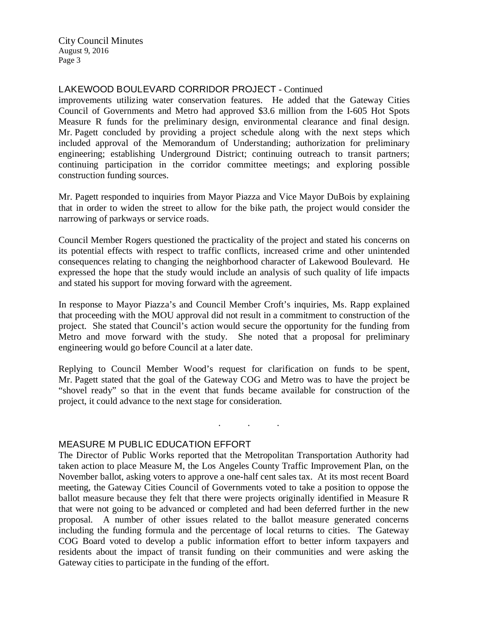#### LAKEWOOD BOULEVARD CORRIDOR PROJECT - Continued

improvements utilizing water conservation features. He added that the Gateway Cities Council of Governments and Metro had approved \$3.6 million from the I-605 Hot Spots Measure R funds for the preliminary design, environmental clearance and final design. Mr. Pagett concluded by providing a project schedule along with the next steps which included approval of the Memorandum of Understanding; authorization for preliminary engineering; establishing Underground District; continuing outreach to transit partners; continuing participation in the corridor committee meetings; and exploring possible construction funding sources.

Mr. Pagett responded to inquiries from Mayor Piazza and Vice Mayor DuBois by explaining that in order to widen the street to allow for the bike path, the project would consider the narrowing of parkways or service roads.

Council Member Rogers questioned the practicality of the project and stated his concerns on its potential effects with respect to traffic conflicts, increased crime and other unintended consequences relating to changing the neighborhood character of Lakewood Boulevard. He expressed the hope that the study would include an analysis of such quality of life impacts and stated his support for moving forward with the agreement.

In response to Mayor Piazza's and Council Member Croft's inquiries, Ms. Rapp explained that proceeding with the MOU approval did not result in a commitment to construction of the project. She stated that Council's action would secure the opportunity for the funding from Metro and move forward with the study. She noted that a proposal for preliminary engineering would go before Council at a later date.

Replying to Council Member Wood's request for clarification on funds to be spent, Mr. Pagett stated that the goal of the Gateway COG and Metro was to have the project be "shovel ready" so that in the event that funds became available for construction of the project, it could advance to the next stage for consideration.

. . .

#### MEASURE M PUBLIC EDUCATION EFFORT

The Director of Public Works reported that the Metropolitan Transportation Authority had taken action to place Measure M, the Los Angeles County Traffic Improvement Plan, on the November ballot, asking voters to approve a one-half cent sales tax. At its most recent Board meeting, the Gateway Cities Council of Governments voted to take a position to oppose the ballot measure because they felt that there were projects originally identified in Measure R that were not going to be advanced or completed and had been deferred further in the new proposal. A number of other issues related to the ballot measure generated concerns including the funding formula and the percentage of local returns to cities. The Gateway COG Board voted to develop a public information effort to better inform taxpayers and residents about the impact of transit funding on their communities and were asking the Gateway cities to participate in the funding of the effort.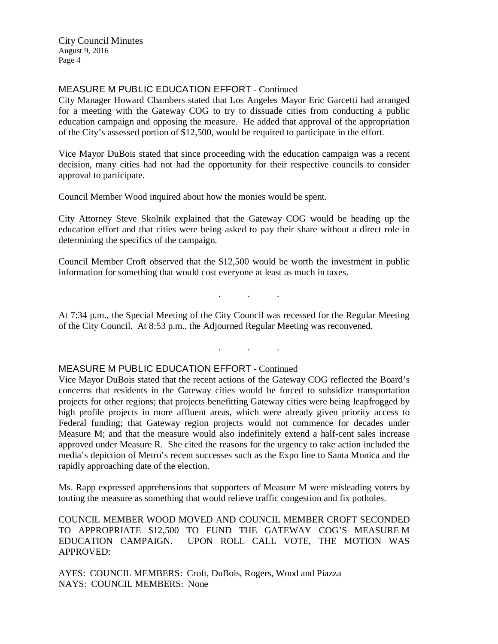# MEASURE M PUBLIC EDUCATION EFFORT - Continued

City Manager Howard Chambers stated that Los Angeles Mayor Eric Garcetti had arranged for a meeting with the Gateway COG to try to dissuade cities from conducting a public education campaign and opposing the measure. He added that approval of the appropriation of the City's assessed portion of \$12,500, would be required to participate in the effort.

Vice Mayor DuBois stated that since proceeding with the education campaign was a recent decision, many cities had not had the opportunity for their respective councils to consider approval to participate.

Council Member Wood inquired about how the monies would be spent.

City Attorney Steve Skolnik explained that the Gateway COG would be heading up the education effort and that cities were being asked to pay their share without a direct role in determining the specifics of the campaign.

Council Member Croft observed that the \$12,500 would be worth the investment in public information for something that would cost everyone at least as much in taxes.

At 7:34 p.m., the Special Meeting of the City Council was recessed for the Regular Meeting of the City Council. At 8:53 p.m., the Adjourned Regular Meeting was reconvened.

. . .

. . .

# MEASURE M PUBLIC EDUCATION EFFORT - Continued

Vice Mayor DuBois stated that the recent actions of the Gateway COG reflected the Board's concerns that residents in the Gateway cities would be forced to subsidize transportation projects for other regions; that projects benefitting Gateway cities were being leapfrogged by high profile projects in more affluent areas, which were already given priority access to Federal funding; that Gateway region projects would not commence for decades under Measure M; and that the measure would also indefinitely extend a half-cent sales increase approved under Measure R. She cited the reasons for the urgency to take action included the media's depiction of Metro's recent successes such as the Expo line to Santa Monica and the rapidly approaching date of the election.

Ms. Rapp expressed apprehensions that supporters of Measure M were misleading voters by touting the measure as something that would relieve traffic congestion and fix potholes.

COUNCIL MEMBER WOOD MOVED AND COUNCIL MEMBER CROFT SECONDED TO APPROPRIATE \$12,500 TO FUND THE GATEWAY COG'S MEASURE M EDUCATION CAMPAIGN. UPON ROLL CALL VOTE, THE MOTION WAS APPROVED:

AYES: COUNCIL MEMBERS: Croft, DuBois, Rogers, Wood and Piazza NAYS: COUNCIL MEMBERS: None